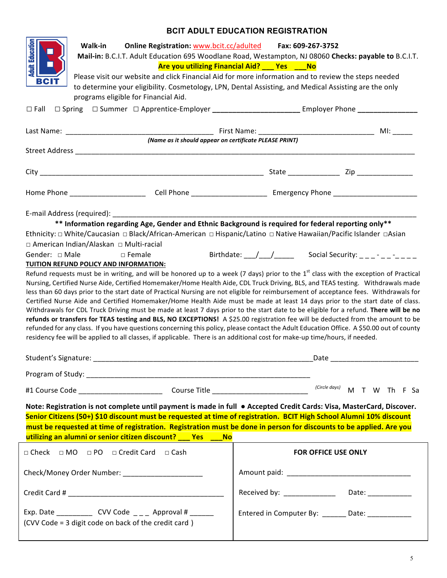## **BCIT ADULT EDUCATION REGISTRATION**

| <b>Walk-in</b><br><b>Online Registration: www.bcit.cc/adulted</b><br>всп<br>programs eligible for Financial Aid.<br>$\square$ Fall                                                                                                                                                                                                                                                                                                                                                                                                                                                                                                                                                                                                                                                                                                                                                                                                                                                                                                                                                                                                                                                                                                                                                                                                                                                                                                                                                                                                                                                                                                                                                                    | Fax: 609-267-3752<br>Mail-in: B.C.I.T. Adult Education 695 Woodlane Road, Westampton, NJ 08060 Checks: payable to B.C.I.T.<br>Are you utilizing Financial Aid? __ Yes ___No<br>Please visit our website and click Financial Aid for more information and to review the steps needed<br>to determine your eligibility. Cosmetology, LPN, Dental Assisting, and Medical Assisting are the only<br>□ Spring  □ Summer  □ Apprentice-Employer _______________________________Employer Phone _________________ |  |
|-------------------------------------------------------------------------------------------------------------------------------------------------------------------------------------------------------------------------------------------------------------------------------------------------------------------------------------------------------------------------------------------------------------------------------------------------------------------------------------------------------------------------------------------------------------------------------------------------------------------------------------------------------------------------------------------------------------------------------------------------------------------------------------------------------------------------------------------------------------------------------------------------------------------------------------------------------------------------------------------------------------------------------------------------------------------------------------------------------------------------------------------------------------------------------------------------------------------------------------------------------------------------------------------------------------------------------------------------------------------------------------------------------------------------------------------------------------------------------------------------------------------------------------------------------------------------------------------------------------------------------------------------------------------------------------------------------|-----------------------------------------------------------------------------------------------------------------------------------------------------------------------------------------------------------------------------------------------------------------------------------------------------------------------------------------------------------------------------------------------------------------------------------------------------------------------------------------------------------|--|
|                                                                                                                                                                                                                                                                                                                                                                                                                                                                                                                                                                                                                                                                                                                                                                                                                                                                                                                                                                                                                                                                                                                                                                                                                                                                                                                                                                                                                                                                                                                                                                                                                                                                                                       |                                                                                                                                                                                                                                                                                                                                                                                                                                                                                                           |  |
| (Name as it should appear on certificate PLEASE PRINT)                                                                                                                                                                                                                                                                                                                                                                                                                                                                                                                                                                                                                                                                                                                                                                                                                                                                                                                                                                                                                                                                                                                                                                                                                                                                                                                                                                                                                                                                                                                                                                                                                                                |                                                                                                                                                                                                                                                                                                                                                                                                                                                                                                           |  |
|                                                                                                                                                                                                                                                                                                                                                                                                                                                                                                                                                                                                                                                                                                                                                                                                                                                                                                                                                                                                                                                                                                                                                                                                                                                                                                                                                                                                                                                                                                                                                                                                                                                                                                       |                                                                                                                                                                                                                                                                                                                                                                                                                                                                                                           |  |
|                                                                                                                                                                                                                                                                                                                                                                                                                                                                                                                                                                                                                                                                                                                                                                                                                                                                                                                                                                                                                                                                                                                                                                                                                                                                                                                                                                                                                                                                                                                                                                                                                                                                                                       |                                                                                                                                                                                                                                                                                                                                                                                                                                                                                                           |  |
| E-mail Address (required): The same state of the state of the state of the state of the state of the state of the state of the state of the state of the state of the state of the state of the state of the state of the stat<br>** Information regarding Age, Gender and Ethnic Background is required for federal reporting only**<br>Ethnicity: □ White/Caucasian □ Black/African-American □ Hispanic/Latino □ Native Hawaiian/Pacific Islander □Asian<br>□ American Indian/Alaskan □ Multi-racial<br>Gender: $\Box$ Male<br>$\Box$ Female<br>TUITION REFUND POLICY AND INFORMATION:<br>Refund requests must be in writing, and will be honored up to a week (7 days) prior to the $1st$ class with the exception of Practical<br>Nursing, Certified Nurse Aide, Certified Homemaker/Home Health Aide, CDL Truck Driving, BLS, and TEAS testing. Withdrawals made<br>less than 60 days prior to the start date of Practical Nursing are not eligible for reimbursement of acceptance fees. Withdrawals for<br>Certified Nurse Aide and Certified Homemaker/Home Health Aide must be made at least 14 days prior to the start date of class.<br>Withdrawals for CDL Truck Driving must be made at least 7 days prior to the start date to be eligible for a refund. There will be no<br>refunds or transfers for TEAS testing and BLS, NO EXCEPTIONS! A \$25.00 registration fee will be deducted from the amount to be<br>refunded for any class. If you have questions concerning this policy, please contact the Adult Education Office. A \$50.00 out of county<br>residency fee will be applied to all classes, if applicable. There is an additional cost for make-up time/hours, if needed. | Birthdate: / / Social Security: - -                                                                                                                                                                                                                                                                                                                                                                                                                                                                       |  |
|                                                                                                                                                                                                                                                                                                                                                                                                                                                                                                                                                                                                                                                                                                                                                                                                                                                                                                                                                                                                                                                                                                                                                                                                                                                                                                                                                                                                                                                                                                                                                                                                                                                                                                       | $(Circle \ days)$ M T W Th F Sa                                                                                                                                                                                                                                                                                                                                                                                                                                                                           |  |
| Note: Registration is not complete until payment is made in full • Accepted Credit Cards: Visa, MasterCard, Discover.<br>Senior Citizens (50+) \$10 discount must be requested at time of registration. BCIT High School Alumni 10% discount<br>must be requested at time of registration. Registration must be done in person for discounts to be applied. Are you<br>utilizing an alumni or senior citizen discount? __ Yes __ No                                                                                                                                                                                                                                                                                                                                                                                                                                                                                                                                                                                                                                                                                                                                                                                                                                                                                                                                                                                                                                                                                                                                                                                                                                                                   |                                                                                                                                                                                                                                                                                                                                                                                                                                                                                                           |  |
| □ Check □ MO □ PO □ Credit Card □ Cash                                                                                                                                                                                                                                                                                                                                                                                                                                                                                                                                                                                                                                                                                                                                                                                                                                                                                                                                                                                                                                                                                                                                                                                                                                                                                                                                                                                                                                                                                                                                                                                                                                                                | FOR OFFICE USE ONLY                                                                                                                                                                                                                                                                                                                                                                                                                                                                                       |  |
|                                                                                                                                                                                                                                                                                                                                                                                                                                                                                                                                                                                                                                                                                                                                                                                                                                                                                                                                                                                                                                                                                                                                                                                                                                                                                                                                                                                                                                                                                                                                                                                                                                                                                                       |                                                                                                                                                                                                                                                                                                                                                                                                                                                                                                           |  |
|                                                                                                                                                                                                                                                                                                                                                                                                                                                                                                                                                                                                                                                                                                                                                                                                                                                                                                                                                                                                                                                                                                                                                                                                                                                                                                                                                                                                                                                                                                                                                                                                                                                                                                       | Received by: _______________<br>Date: _____________                                                                                                                                                                                                                                                                                                                                                                                                                                                       |  |
| Exp. Date ______________ CVV Code _____ Approval # _______<br>(CVV Code = 3 digit code on back of the credit card)                                                                                                                                                                                                                                                                                                                                                                                                                                                                                                                                                                                                                                                                                                                                                                                                                                                                                                                                                                                                                                                                                                                                                                                                                                                                                                                                                                                                                                                                                                                                                                                    | Entered in Computer By: _______ Date: ___________                                                                                                                                                                                                                                                                                                                                                                                                                                                         |  |